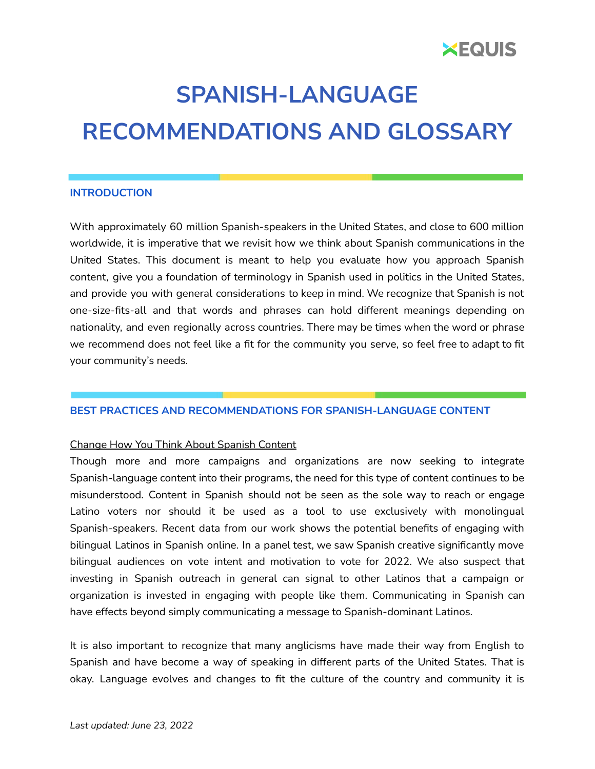

# **SPANISH-LANGUAGE RECOMMENDATIONS AND GLOSSARY**

# **INTRODUCTION**

With approximately 60 million Spanish-speakers in the United States, and close to 600 million worldwide, it is imperative that we revisit how we think about Spanish communications in the United States. This document is meant to help you evaluate how you approach Spanish content, give you a foundation of terminology in Spanish used in politics in the United States, and provide you with general considerations to keep in mind. We recognize that Spanish is not one-size-fits-all and that words and phrases can hold different meanings depending on nationality, and even regionally across countries. There may be times when the word or phrase we recommend does not feel like a fit for the community you serve, so feel free to adapt to fit your community's needs.

# **BEST PRACTICES AND RECOMMENDATIONS FOR SPANISH-LANGUAGE CONTENT**

# Change How You Think About Spanish Content

Though more and more campaigns and organizations are now seeking to integrate Spanish-language content into their programs, the need for this type of content continues to be misunderstood. Content in Spanish should not be seen as the sole way to reach or engage Latino voters nor should it be used as a tool to use exclusively with monolingual Spanish-speakers. Recent data from our work shows the potential benefits of engaging with bilingual Latinos in Spanish online. In a panel test, we saw Spanish creative significantly move bilingual audiences on vote intent and motivation to vote for 2022. We also suspect that investing in Spanish outreach in general can signal to other Latinos that a campaign or organization is invested in engaging with people like them. Communicating in Spanish can have effects beyond simply communicating a message to Spanish-dominant Latinos.

It is also important to recognize that many anglicisms have made their way from English to Spanish and have become a way of speaking in different parts of the United States. That is okay. Language evolves and changes to fit the culture of the country and community it is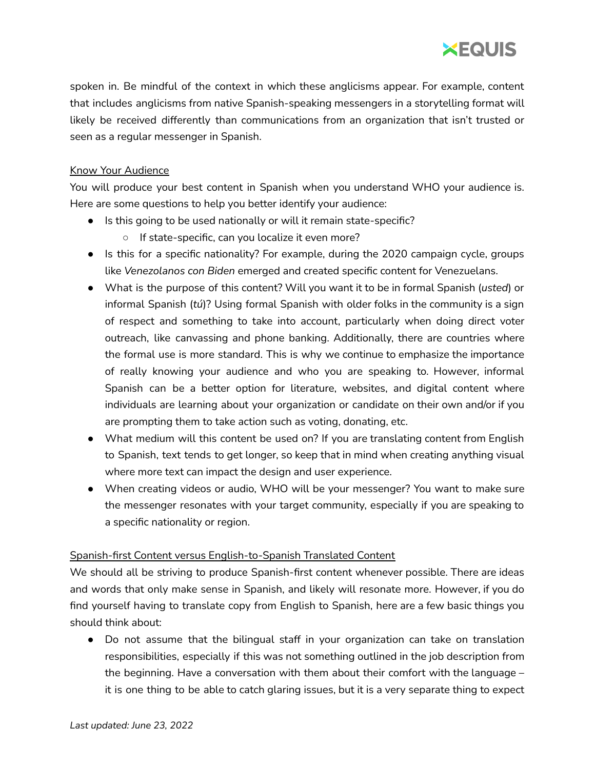

spoken in. Be mindful of the context in which these anglicisms appear. For example, content that includes anglicisms from native Spanish-speaking messengers in a storytelling format will likely be received differently than communications from an organization that isn't trusted or seen as a regular messenger in Spanish.

# Know Your Audience

You will produce your best content in Spanish when you understand WHO your audience is. Here are some questions to help you better identify your audience:

- Is this going to be used nationally or will it remain state-specific?
	- If state-specific, can you localize it even more?
- Is this for a specific nationality? For example, during the 2020 campaign cycle, groups like *Venezolanos con Biden* emerged and created specific content for Venezuelans.
- What is the purpose of this content? Will you want it to be in formal Spanish (*usted*) or informal Spanish (*tú*)? Using formal Spanish with older folks in the community is a sign of respect and something to take into account, particularly when doing direct voter outreach, like canvassing and phone banking. Additionally, there are countries where the formal use is more standard. This is why we continue to emphasize the importance of really knowing your audience and who you are speaking to. However, informal Spanish can be a better option for literature, websites, and digital content where individuals are learning about your organization or candidate on their own and/or if you are prompting them to take action such as voting, donating, etc.
- What medium will this content be used on? If you are translating content from English to Spanish, text tends to get longer, so keep that in mind when creating anything visual where more text can impact the design and user experience.
- When creating videos or audio, WHO will be your messenger? You want to make sure the messenger resonates with your target community, especially if you are speaking to a specific nationality or region.

# Spanish-first Content versus English-to-Spanish Translated Content

We should all be striving to produce Spanish-first content whenever possible. There are ideas and words that only make sense in Spanish, and likely will resonate more. However, if you do find yourself having to translate copy from English to Spanish, here are a few basic things you should think about:

• Do not assume that the bilingual staff in your organization can take on translation responsibilities, especially if this was not something outlined in the job description from the beginning. Have a conversation with them about their comfort with the language – it is one thing to be able to catch glaring issues, but it is a very separate thing to expect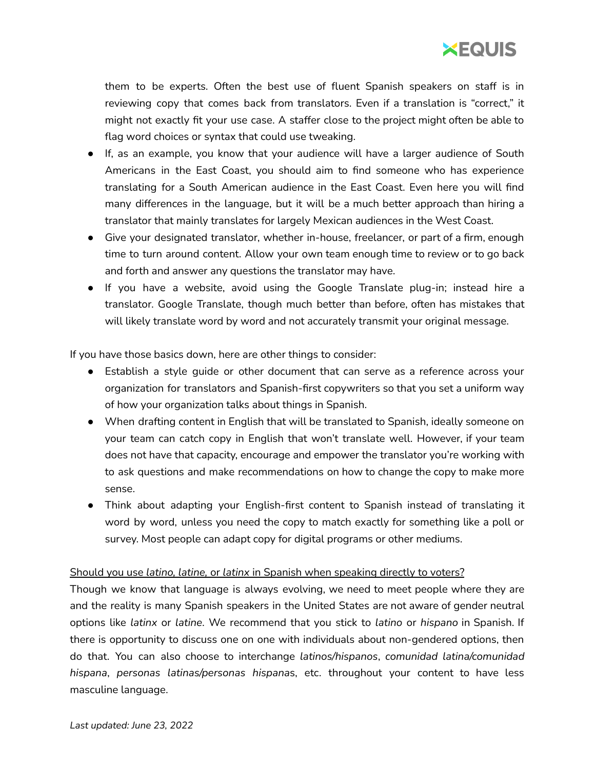

them to be experts. Often the best use of fluent Spanish speakers on staff is in reviewing copy that comes back from translators. Even if a translation is "correct," it might not exactly fit your use case. A staffer close to the project might often be able to flag word choices or syntax that could use tweaking.

- If, as an example, you know that your audience will have a larger audience of South Americans in the East Coast, you should aim to find someone who has experience translating for a South American audience in the East Coast. Even here you will find many differences in the language, but it will be a much better approach than hiring a translator that mainly translates for largely Mexican audiences in the West Coast.
- Give your designated translator, whether in-house, freelancer, or part of a firm, enough time to turn around content. Allow your own team enough time to review or to go back and forth and answer any questions the translator may have.
- If you have a website, avoid using the Google Translate plug-in; instead hire a translator. Google Translate, though much better than before, often has mistakes that will likely translate word by word and not accurately transmit your original message.

If you have those basics down, here are other things to consider:

- Establish a style guide or other document that can serve as a reference across your organization for translators and Spanish-first copywriters so that you set a uniform way of how your organization talks about things in Spanish.
- When drafting content in English that will be translated to Spanish, ideally someone on your team can catch copy in English that won't translate well. However, if your team does not have that capacity, encourage and empower the translator you're working with to ask questions and make recommendations on how to change the copy to make more sense.
- Think about adapting your English-first content to Spanish instead of translating it word by word, unless you need the copy to match exactly for something like a poll or survey. Most people can adapt copy for digital programs or other mediums.

# Should you use *latino, latine,* or *latinx* in Spanish when speaking directly to voters?

Though we know that language is always evolving, we need to meet people where they are and the reality is many Spanish speakers in the United States are not aware of gender neutral options like *latinx* or *latine*. We recommend that you stick to *latino* or *hispano* in Spanish. If there is opportunity to discuss one on one with individuals about non-gendered options, then do that. You can also choose to interchange *latinos/hispanos*, *comunidad latina/comunidad hispana*, *personas latinas/personas hispana*s, etc. throughout your content to have less masculine language.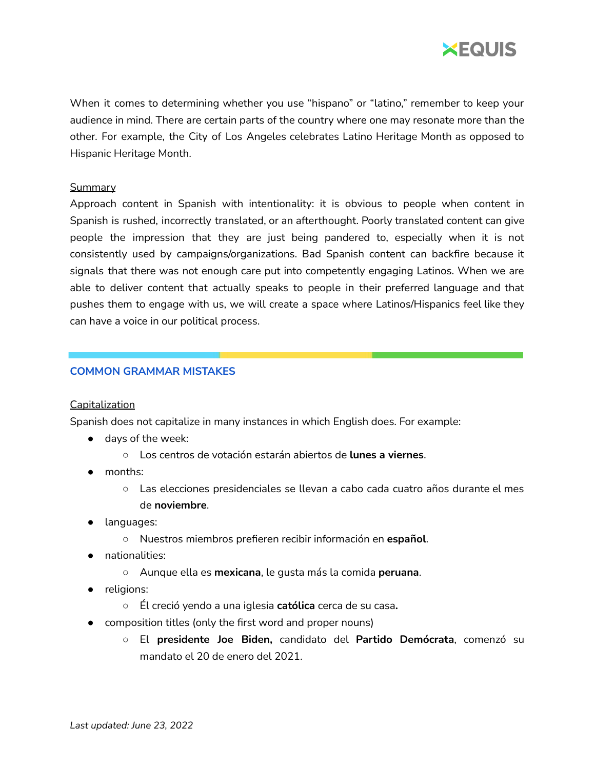

When it comes to determining whether you use "hispano" or "latino," remember to keep your audience in mind. There are certain parts of the country where one may resonate more than the other. For example, the City of Los Angeles celebrates Latino Heritage Month as opposed to Hispanic Heritage Month.

# **Summary**

Approach content in Spanish with intentionality: it is obvious to people when content in Spanish is rushed, incorrectly translated, or an afterthought. Poorly translated content can give people the impression that they are just being pandered to, especially when it is not consistently used by campaigns/organizations. Bad Spanish content can backfire because it signals that there was not enough care put into competently engaging Latinos. When we are able to deliver content that actually speaks to people in their preferred language and that pushes them to engage with us, we will create a space where Latinos/Hispanics feel like they can have a voice in our political process.

# **COMMON GRAMMAR MISTAKES**

#### **Capitalization**

Spanish does not capitalize in many instances in which English does. For example:

- days of the week:
	- Los centros de votación estarán abiertos de **lunes a viernes**.
- months:
	- Las elecciones presidenciales se llevan a cabo cada cuatro años durante el mes de **noviembre**.
- languages:
	- Nuestros miembros prefieren recibir información en **español**.
- nationalities:
	- Aunque ella es **mexicana**, le gusta más la comida **peruana**.
- religions:
	- Él creció yendo a una iglesia **católica** cerca de su casa**.**
- composition titles (only the first word and proper nouns)
	- El **presidente Joe Biden,** candidato del **Partido Demócrata**, comenzó su mandato el 20 de enero del 2021.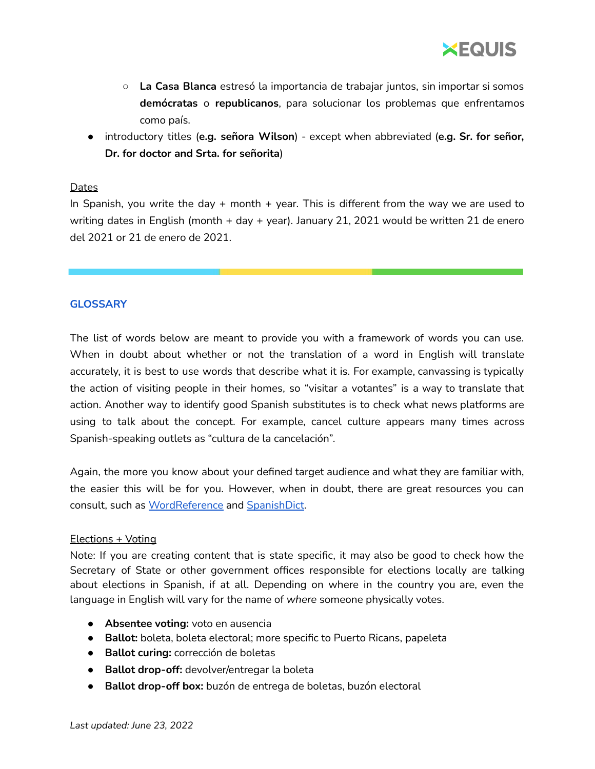

- **La Casa Blanca** estresó la importancia de trabajar juntos, sin importar si somos **demócratas** o **republicanos**, para solucionar los problemas que enfrentamos como país.
- introductory titles (**e.g. señora Wilson**) except when abbreviated (**e.g. Sr. for señor, Dr. for doctor and Srta. for señorita**)

#### **Dates**

In Spanish, you write the day + month + year. This is different from the way we are used to writing dates in English (month + day + year). January 21, 2021 would be written 21 de enero del 2021 or 21 de enero de 2021.

# **GLOSSARY**

The list of words below are meant to provide you with a framework of words you can use. When in doubt about whether or not the translation of a word in English will translate accurately, it is best to use words that describe what it is. For example, canvassing is typically the action of visiting people in their homes, so "visitar a votantes" is a way to translate that action. Another way to identify good Spanish substitutes is to check what news platforms are using to talk about the concept. For example, cancel culture appears many times across Spanish-speaking outlets as "cultura de la cancelación".

Again, the more you know about your defined target audience and what they are familiar with, the easier this will be for you. However, when in doubt, there are great resources you can consult, such as [WordReference](https://www.wordreference.com/) and [SpanishDict](https://www.spanishdict.com/).

# Elections + Voting

Note: If you are creating content that is state specific, it may also be good to check how the Secretary of State or other government offices responsible for elections locally are talking about elections in Spanish, if at all. Depending on where in the country you are, even the language in English will vary for the name of *where* someone physically votes.

- **Absentee voting:** voto en ausencia
- **Ballot:** boleta, boleta electoral; more specific to Puerto Ricans, papeleta
- **Ballot curing:** corrección de boletas
- **Ballot drop-off:** devolver/entregar la boleta
- **Ballot drop-off box:** buzón de entrega de boletas, buzón electoral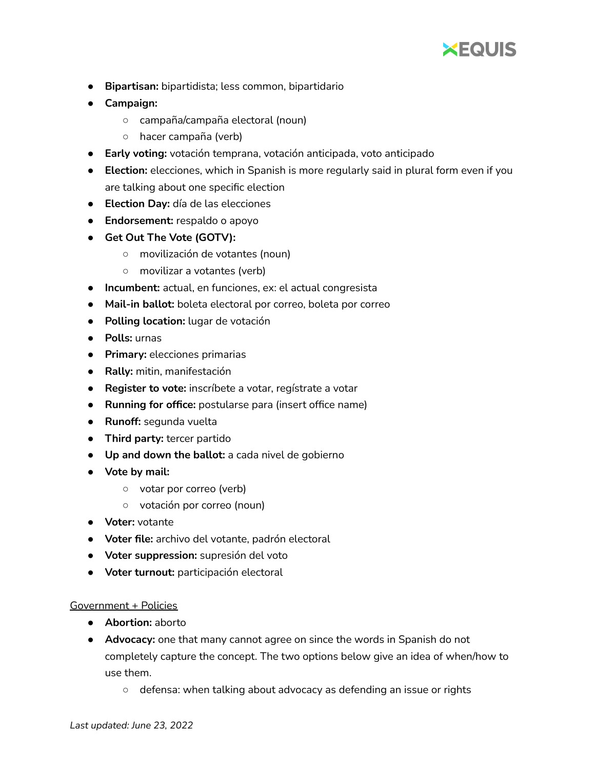

- **Bipartisan:** bipartidista; less common, bipartidario
- **● Campaign:**
	- campaña/campaña electoral (noun)
	- hacer campaña (verb)
- **Early voting:** votación temprana, votación anticipada, voto anticipado
- **Election:** elecciones, which in Spanish is more regularly said in plural form even if you are talking about one specific election
- **Election Day:** día de las elecciones
- **● Endorsement:** respaldo o apoyo
- **● Get Out The Vote (GOTV):**
	- movilización de votantes (noun)
	- movilizar a votantes (verb)
- **Incumbent:** actual, en funciones, ex: el actual congresista
- **Mail-in ballot:** boleta electoral por correo, boleta por correo
- **Polling location:** lugar de votación
- **Polls:** urnas
- **Primary:** elecciones primarias
- **● Rally:** mitin, manifestación
- **● Register to vote:** inscríbete a votar, regístrate a votar
- **Running for office:** postularse para (insert office name)
- **Runoff:** segunda vuelta
- **Third party:** tercer partido
- **Up and down the ballot:** a cada nivel de gobierno
- **● Vote by mail:**
	- votar por correo (verb)
	- votación por correo (noun)
- **Voter:** votante
- **Voter file:** archivo del votante, padrón electoral
- **Voter suppression:** supresión del voto
- **Voter turnout:** participación electoral

#### Government + Policies

- **Abortion:** aborto
- **Advocacy:** one that many cannot agree on since the words in Spanish do not completely capture the concept. The two options below give an idea of when/how to use them.
	- defensa: when talking about advocacy as defending an issue or rights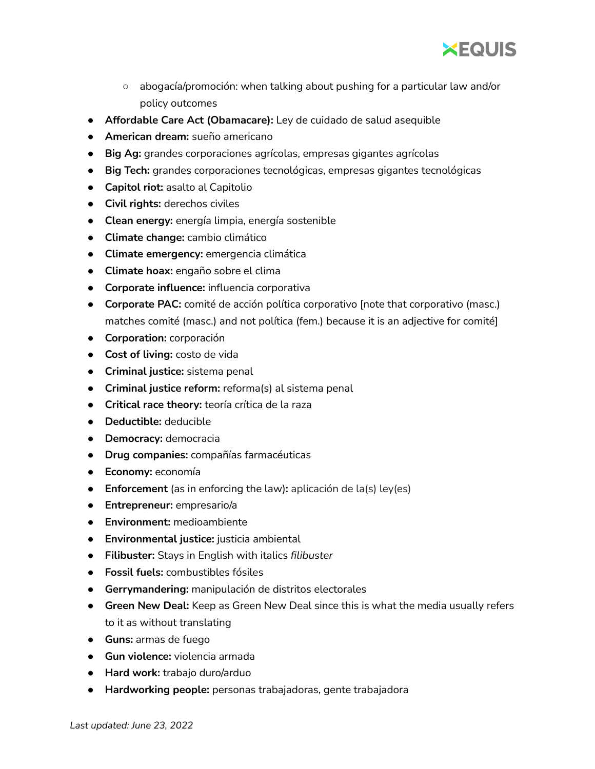

- abogacía/promoción: when talking about pushing for a particular law and/or policy outcomes
- **Affordable Care Act (Obamacare):** Ley de cuidado de salud asequible
- **American dream:** sueño americano
- **Big Ag:** grandes corporaciones agrícolas, empresas gigantes agrícolas
- **Big Tech:** grandes corporaciones tecnológicas, empresas gigantes tecnológicas
- **Capitol riot:** asalto al Capitolio
- **Civil rights:** derechos civiles
- **Clean energy:** energía limpia, energía sostenible
- **Climate change:** cambio climático
- **Climate emergency:** emergencia climática
- **Climate hoax:** engaño sobre el clima
- **Corporate influence:** influencia corporativa
- **Corporate PAC:** comité de acción política corporativo [note that corporativo (masc.) matches comité (masc.) and not política (fem.) because it is an adjective for comité]
- **Corporation:** corporación
- **Cost of living:** costo de vida
- **Criminal justice:** sistema penal
- **Criminal justice reform:** reforma(s) al sistema penal
- **Critical race theory:** teoría crítica de la raza
- **Deductible:** deducible
- **Democracy:** democracia
- **Drug companies:** compañías farmacéuticas
- **Economy:** economía
- **Enforcement** (as in enforcing the law)**:** aplicación de la(s) ley(es)
- **Entrepreneur:** empresario/a
- **Environment:** medioambiente
- **Environmental justice:** justicia ambiental
- **Filibuster:** Stays in English with italics *filibuster*
- **Fossil fuels:** combustibles fósiles
- **Gerrymandering:** manipulación de distritos electorales
- **Green New Deal:** Keep as Green New Deal since this is what the media usually refers to it as without translating
- **Guns:** armas de fuego
- **Gun violence:** violencia armada
- **Hard work:** trabajo duro/arduo
- **Hardworking people:** personas trabajadoras, gente trabajadora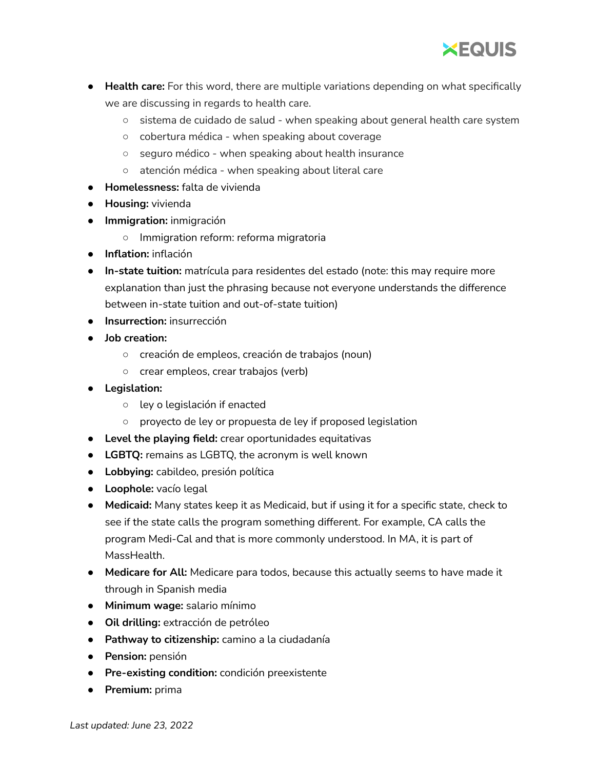

- **Health care:** For this word, there are multiple variations depending on what specifically we are discussing in regards to health care.
	- sistema de cuidado de salud when speaking about general health care system
	- cobertura médica when speaking about coverage
	- seguro médico when speaking about health insurance
	- atención médica when speaking about literal care
- **Homelessness:** falta de vivienda
- **Housing:** vivienda
- **Immigration:** inmigración
	- Immigration reform: reforma migratoria
- **Inflation:** inflación
- **In-state tuition:** matrícula para residentes del estado (note: this may require more explanation than just the phrasing because not everyone understands the difference between in-state tuition and out-of-state tuition)
- **Insurrection:** insurrección
- **● Job creation:**
	- **○** creación de empleos, creación de trabajos (noun)
	- **○** crear empleos, crear trabajos (verb)
- **● Legislation:**
	- ley o legislación if enacted
	- proyecto de ley or propuesta de ley if proposed legislation
- **Level the playing field:** crear oportunidades equitativas
- **● LGBTQ:** remains as LGBTQ, the acronym is well known
- **● Lobbying:** cabildeo, presión política
- **Loophole:** vacío legal
- **Medicaid:** Many states keep it as Medicaid, but if using it for a specific state, check to see if the state calls the program something different. For example, CA calls the program Medi-Cal and that is more commonly understood. In MA, it is part of MassHealth.
- **Medicare for All:** Medicare para todos, because this actually seems to have made it through in Spanish media
- **Minimum wage:** salario mínimo
- **Oil drilling:** extracción de petróleo
- **Pathway to citizenship:** camino a la ciudadanía
- **Pension:** pensión
- **Pre-existing condition:** condición preexistente
- **Premium:** prima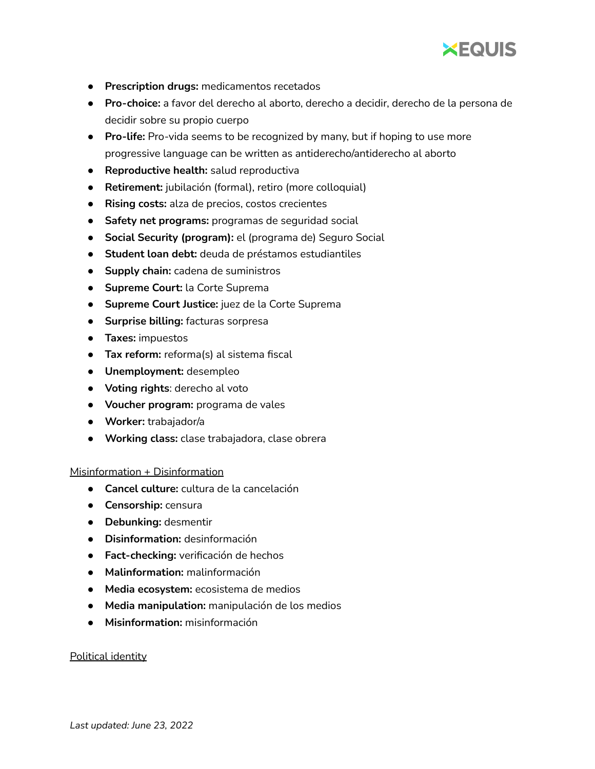

- **Prescription drugs:** medicamentos recetados
- **Pro-choice:** a favor del derecho al aborto, derecho a decidir, derecho de la persona de decidir sobre su propio cuerpo
- **Pro-life:** Pro-vida seems to be recognized by many, but if hoping to use more progressive language can be written as antiderecho/antiderecho al aborto
- **Reproductive health:** salud reproductiva
- **Retirement:** jubilación (formal), retiro (more colloquial)
- **Rising costs:** alza de precios, costos crecientes
- **Safety net programs:** programas de seguridad social
- **Social Security (program):** el (programa de) Seguro Social
- **Student loan debt:** deuda de préstamos estudiantiles
- **Supply chain:** cadena de suministros
- **Supreme Court:** la Corte Suprema
- **Supreme Court Justice:** juez de la Corte Suprema
- **Surprise billing:** facturas sorpresa
- **Taxes:** impuestos
- **Tax reform:** reforma(s) al sistema fiscal
- **Unemployment:** desempleo
- **Voting rights**: derecho al voto
- **Voucher program:** programa de vales
- **Worker:** trabajador/a
- **Working class:** clase trabajadora, clase obrera

# Misinformation + Disinformation

- **Cancel culture:** cultura de la cancelación
- **Censorship:** censura
- **Debunking:** desmentir
- **Disinformation:** desinformación
- **Fact-checking:** verificación de hechos
- **Malinformation:** malinformación
- **Media ecosystem:** ecosistema de medios
- **Media manipulation:** manipulación de los medios
- **Misinformation:** misinformación

# Political identity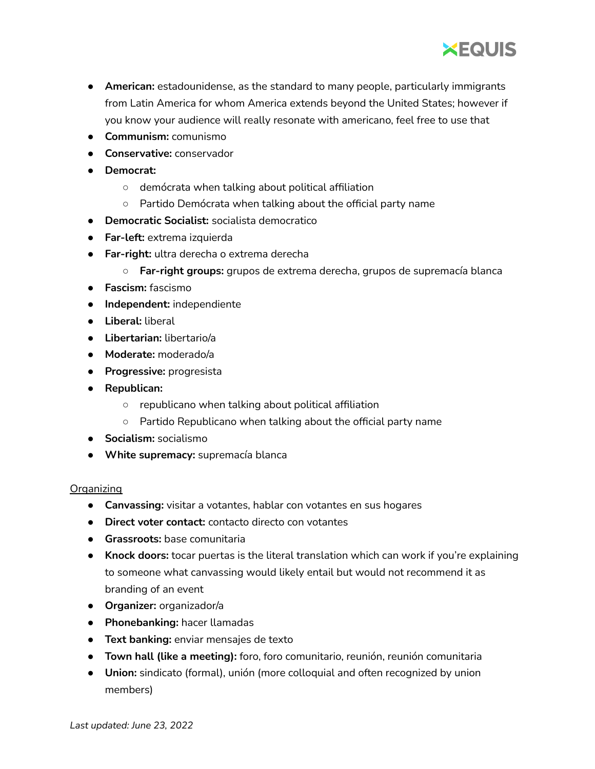

- **American:** estadounidense, as the standard to many people, particularly immigrants from Latin America for whom America extends beyond the United States; however if you know your audience will really resonate with americano, feel free to use that
- **Communism:** comunismo
- **Conservative:** conservador
- **Democrat:**
	- demócrata when talking about political affiliation
	- Partido Demócrata when talking about the official party name
- **Democratic Socialist:** socialista democratico
- **Far-left:** extrema izquierda
- **● Far-right:** ultra derecha o extrema derecha
	- **Far-right groups:** grupos de extrema derecha, grupos de supremacía blanca
- **● Fascism:** fascismo
- **● Independent:** independiente
- **Liberal:** liberal
- **Libertarian:** libertario/a
- **Moderate:** moderado/a
- **Progressive:** progresista
- **● Republican:**
	- republicano when talking about political affiliation
	- Partido Republicano when talking about the official party name
- **Socialism:** socialismo
- **White supremacy:** supremacía blanca

# Organizing

- **Canvassing:** visitar a votantes, hablar con votantes en sus hogares
- **Direct voter contact:** contacto directo con votantes
- **Grassroots:** base comunitaria
- **Knock doors:** tocar puertas is the literal translation which can work if you're explaining to someone what canvassing would likely entail but would not recommend it as branding of an event
- **Organizer:** organizador/a
- **● Phonebanking:** hacer llamadas
- **Text banking:** enviar mensajes de texto
- **Town hall (like a meeting):** foro, foro comunitario, reunión, reunión comunitaria
- **Union:** sindicato (formal), unión (more colloquial and often recognized by union members)